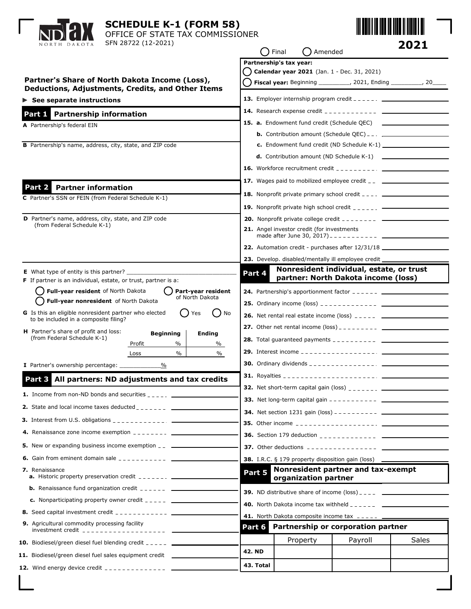| <b>SCHEDULE K-1 (FORM 58)</b><br>OFFICE OF STATE TAX COMMISSIONER<br>SFN 28722 (12-2021)<br>NORTH DAKOTA                                                                                                                                                                                           | 2021<br>$\bigcap$ Final<br>. )Amended                                                                                                                                                                                                                                                                                                                                                                                                                                           |  |
|----------------------------------------------------------------------------------------------------------------------------------------------------------------------------------------------------------------------------------------------------------------------------------------------------|---------------------------------------------------------------------------------------------------------------------------------------------------------------------------------------------------------------------------------------------------------------------------------------------------------------------------------------------------------------------------------------------------------------------------------------------------------------------------------|--|
| Partner's Share of North Dakota Income (Loss),<br>Deductions, Adjustments, Credits, and Other Items                                                                                                                                                                                                | Partnership's tax year:<br>Calendar year 2021 (Jan. 1 - Dec. 31, 2021)<br><b>Fiscal year:</b> Beginning __________, 2021, Ending _________, 20___                                                                                                                                                                                                                                                                                                                               |  |
| $\triangleright$ See separate instructions                                                                                                                                                                                                                                                         | <b>13.</b> Employer internship program credit $\frac{1}{2}$ = $\frac{1}{2}$ = $\frac{1}{2}$ = $\frac{1}{2}$                                                                                                                                                                                                                                                                                                                                                                     |  |
| Part 1 Partnership information                                                                                                                                                                                                                                                                     |                                                                                                                                                                                                                                                                                                                                                                                                                                                                                 |  |
| A Partnership's federal EIN<br>B Partnership's name, address, city, state, and ZIP code                                                                                                                                                                                                            | <b>15. a.</b> Endowment fund credit (Schedule QEC) ___________________________________<br><b>d.</b> Contribution amount (ND Schedule $K-1$ ) $\qquad \qquad$<br><b>16.</b> Workforce recruitment credit $\frac{1}{2}$ $\frac{1}{2}$ $\frac{1}{2}$ $\frac{1}{2}$ $\frac{1}{2}$ $\frac{1}{2}$ $\frac{1}{2}$ $\frac{1}{2}$ $\frac{1}{2}$ $\frac{1}{2}$ $\frac{1}{2}$ $\frac{1}{2}$ $\frac{1}{2}$ $\frac{1}{2}$ $\frac{1}{2}$ $\frac{1}{2}$ $\frac{1}{2}$ $\frac{1}{2}$ $\frac{1}{$ |  |
| Part 2 Partner information                                                                                                                                                                                                                                                                         | <b>17.</b> Wages paid to mobilized employee credit $\overline{z}$ _________________________                                                                                                                                                                                                                                                                                                                                                                                     |  |
| C Partner's SSN or FEIN (from Federal Schedule K-1)                                                                                                                                                                                                                                                | <b>18.</b> Nonprofit private primary school credit $\frac{1}{2}$ $\frac{1}{2}$ $\frac{1}{2}$ $\frac{1}{2}$ $\frac{1}{2}$                                                                                                                                                                                                                                                                                                                                                        |  |
|                                                                                                                                                                                                                                                                                                    | <b>19.</b> Nonprofit private high school credit $\frac{1}{2}$ $\frac{1}{2}$ $\frac{1}{2}$ $\frac{1}{2}$ $\frac{1}{2}$ $\frac{1}{2}$                                                                                                                                                                                                                                                                                                                                             |  |
| D Partner's name, address, city, state, and ZIP code<br>(from Federal Schedule K-1)                                                                                                                                                                                                                | <b>20.</b> Nonprofit private college credit $-$ - - - - - - - $-$<br>21. Angel investor credit (for investments                                                                                                                                                                                                                                                                                                                                                                 |  |
|                                                                                                                                                                                                                                                                                                    |                                                                                                                                                                                                                                                                                                                                                                                                                                                                                 |  |
|                                                                                                                                                                                                                                                                                                    | 22. Automation credit - purchases after 12/31/18 _______________________________                                                                                                                                                                                                                                                                                                                                                                                                |  |
| <b>E</b> What type of entity is this partner?                                                                                                                                                                                                                                                      | 23. Develop. disabled/mentally ill employee credit __<br>Nonresident individual, estate, or trust                                                                                                                                                                                                                                                                                                                                                                               |  |
| <b>F</b> If partner is an individual, estate, or trust, partner is a:                                                                                                                                                                                                                              | Part 4<br>partner: North Dakota income (loss)                                                                                                                                                                                                                                                                                                                                                                                                                                   |  |
| Full-year resident of North Dakota<br>Part-year resident<br>of North Dakota                                                                                                                                                                                                                        | <b>24.</b> Partnership's apportionment factor $-- ---$                                                                                                                                                                                                                                                                                                                                                                                                                          |  |
| Full-year nonresident of North Dakota                                                                                                                                                                                                                                                              |                                                                                                                                                                                                                                                                                                                                                                                                                                                                                 |  |
| G Is this an eligible nonresident partner who elected<br>No<br>Yes<br>to be included in a composite filing?                                                                                                                                                                                        | <b>26.</b> Net rental real estate income (loss) $\frac{1}{2}$ $\frac{1}{2}$ $\frac{1}{2}$ $\frac{1}{2}$ $\frac{1}{2}$                                                                                                                                                                                                                                                                                                                                                           |  |
| H Partner's share of profit and loss:<br><b>Beginning</b><br><b>Ending</b>                                                                                                                                                                                                                         |                                                                                                                                                                                                                                                                                                                                                                                                                                                                                 |  |
| (from Federal Schedule K-1)<br>Profit<br>$\%$<br>%                                                                                                                                                                                                                                                 |                                                                                                                                                                                                                                                                                                                                                                                                                                                                                 |  |
| $\%$<br>%<br>Loss                                                                                                                                                                                                                                                                                  |                                                                                                                                                                                                                                                                                                                                                                                                                                                                                 |  |
| I Partner's ownership percentage:<br>%                                                                                                                                                                                                                                                             |                                                                                                                                                                                                                                                                                                                                                                                                                                                                                 |  |
| All partners: ND adjustments and tax credits<br>Part 3 l                                                                                                                                                                                                                                           |                                                                                                                                                                                                                                                                                                                                                                                                                                                                                 |  |
| <b>1.</b> Income from non-ND bonds and securities $\frac{1}{2}$                                                                                                                                                                                                                                    |                                                                                                                                                                                                                                                                                                                                                                                                                                                                                 |  |
| <b>2.</b> State and local income taxes deducted $\frac{1}{2}$                                                                                                                                                                                                                                      |                                                                                                                                                                                                                                                                                                                                                                                                                                                                                 |  |
| <b>3.</b> Interest from U.S. obligations $\frac{1}{2}$                                                                                                                                                                                                                                             |                                                                                                                                                                                                                                                                                                                                                                                                                                                                                 |  |
| <b>4.</b> Renaissance zone income exemption $\frac{1}{2}$ = $\frac{1}{2}$ = $\frac{1}{2}$ = $\frac{1}{2}$ = $\frac{1}{2}$                                                                                                                                                                          |                                                                                                                                                                                                                                                                                                                                                                                                                                                                                 |  |
| <b>5.</b> New or expanding business income exemption _________________________________                                                                                                                                                                                                             | <b>37.</b> Other deductions $\overline{\phantom{a}1}$ = $\overline{\phantom{a}2}$ = $\overline{\phantom{a}3}$ = $\overline{\phantom{a}2}$ = $\overline{\phantom{a}4}$ = $\overline{\phantom{a}5}$                                                                                                                                                                                                                                                                               |  |
| <b>6.</b> Gain from eminent domain sale $\frac{1}{2}$                                                                                                                                                                                                                                              | <b>38.</b> I.R.C. § 179 property disposition gain (loss)                                                                                                                                                                                                                                                                                                                                                                                                                        |  |
| 7. Renaissance<br><b>a.</b> Historic property preservation credit $\frac{1}{2}$ = $\frac{1}{2}$ = $\frac{1}{2}$ = $\frac{1}{2}$                                                                                                                                                                    | Nonresident partner and tax-exempt<br>Part 5                                                                                                                                                                                                                                                                                                                                                                                                                                    |  |
| <b>b.</b> Renaissance fund organization credit $\frac{1}{2}$ = $\frac{1}{2}$ = $\frac{1}{2}$ = $\frac{1}{2}$                                                                                                                                                                                       | organization partner                                                                                                                                                                                                                                                                                                                                                                                                                                                            |  |
|                                                                                                                                                                                                                                                                                                    | <b>39.</b> ND distributive share of income $(\text{loss})$                                                                                                                                                                                                                                                                                                                                                                                                                      |  |
| <b>8.</b> Seed capital investment credit $\frac{1}{2}$ $\frac{1}{2}$ $\frac{1}{2}$ $\frac{1}{2}$ $\frac{1}{2}$ $\frac{1}{2}$                                                                                                                                                                       | <b>40.</b> North Dakota income tax withheld $\frac{1}{2}$ $\frac{1}{2}$ $\frac{1}{2}$ $\frac{1}{2}$ $\frac{1}{2}$ $\frac{1}{2}$                                                                                                                                                                                                                                                                                                                                                 |  |
| 9. Agricultural commodity processing facility                                                                                                                                                                                                                                                      | 41. North Dakota composite income tax _____ ____<br>Partnership or corporation partner<br>Part 6                                                                                                                                                                                                                                                                                                                                                                                |  |
|                                                                                                                                                                                                                                                                                                    |                                                                                                                                                                                                                                                                                                                                                                                                                                                                                 |  |
| <b>10.</b> Biodiesel/green diesel fuel blending credit $---$                                                                                                                                                                                                                                       | Payroll<br>Sales<br>Property<br><b>42. ND</b>                                                                                                                                                                                                                                                                                                                                                                                                                                   |  |
| 11. Biodiesel/green diesel fuel sales equipment credit _______                                                                                                                                                                                                                                     |                                                                                                                                                                                                                                                                                                                                                                                                                                                                                 |  |
| <b>12.</b> Wind energy device credit $\frac{1}{2}$ = $\frac{1}{2}$ = $\frac{1}{2}$ = $\frac{1}{2}$ = $\frac{1}{2}$ = $\frac{1}{2}$ = $\frac{1}{2}$ = $\frac{1}{2}$ = $\frac{1}{2}$ = $\frac{1}{2}$ = $\frac{1}{2}$ = $\frac{1}{2}$ = $\frac{1}{2}$ = $\frac{1}{2}$ = $\frac{1}{2}$ = $\frac{1}{2}$ | 43. Total                                                                                                                                                                                                                                                                                                                                                                                                                                                                       |  |

 $\mathbf{I}$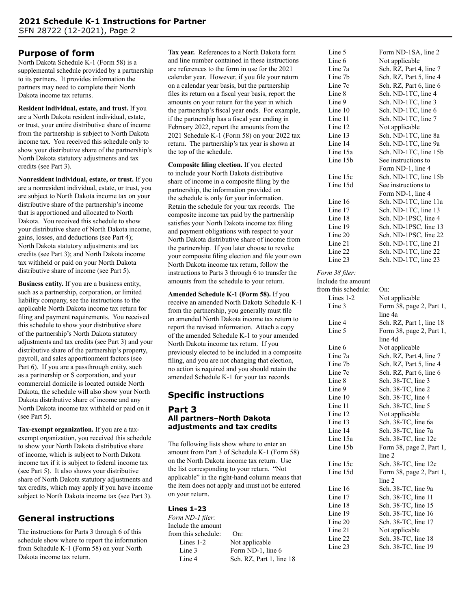# **Purpose of form**

North Dakota Schedule K-1 (Form 58) is a supplemental schedule provided by a partnership to its partners. It provides information the partners may need to complete their North Dakota income tax returns.

**Resident individual, estate, and trust.** If you are a North Dakota resident individual, estate, or trust, your entire distributive share of income from the partnership is subject to North Dakota income tax. You received this schedule only to show your distributive share of the partnership's North Dakota statutory adjustments and tax credits (see Part 3).

**Nonresident individual, estate, or trust.** If you are a nonresident individual, estate, or trust, you are subject to North Dakota income tax on your distributive share of the partnership's income that is apportioned and allocated to North Dakota. You received this schedule to show your distributive share of North Dakota income, gains, losses, and deductions (see Part 4); North Dakota statutory adjustments and tax credits (see Part 3); and North Dakota income tax withheld or paid on your North Dakota distributive share of income (see Part 5).

**Business entity.** If you are a business entity, such as a partnership, corporation, or limited liability company, see the instructions to the applicable North Dakota income tax return for filing and payment requirements. You received this schedule to show your distributive share of the partnership's North Dakota statutory adjustments and tax credits (see Part 3) and your distributive share of the partnership's property, payroll, and sales apportionment factors (see Part 6). If you are a passthrough entity, such as a partnership or S corporation, and your commercial domicile is located outside North Dakota, the schedule will also show your North Dakota distributive share of income and any North Dakota income tax withheld or paid on it (see Part 5).

**Tax-exempt organization.** If you are a taxexempt organization, you received this schedule to show your North Dakota distributive share of income, which is subject to North Dakota income tax if it is subject to federal income tax (see Part 5). It also shows your distributive share of North Dakota statutory adjustments and tax credits, which may apply if you have income subject to North Dakota income tax (see Part 3).

# **General instructions**

The instructions for Parts 3 through 6 of this schedule show where to report the information from Schedule K-1 (Form 58) on your North Dakota income tax return.

**Tax year.** References to a North Dakota form and line number contained in these instructions are references to the form in use for the 2021 calendar year. However, if you file your return on a calendar year basis, but the partnership files its return on a fiscal year basis, report the amounts on your return for the year in which the partnership's fiscal year ends. For example, if the partnership has a fiscal year ending in February 2022, report the amounts from the 2021 Schedule K-1 (Form 58) on your 2022 tax return. The partnership's tax year is shown at the top of the schedule.

**Composite filing election.** If you elected to include your North Dakota distributive share of income in a composite filing by the partnership, the information provided on the schedule is only for your information. Retain the schedule for your tax records. The composite income tax paid by the partnership satisfies your North Dakota income tax filing and payment obligations with respect to your North Dakota distributive share of income from the partnership. If you later choose to revoke your composite filing election and file your own North Dakota income tax return, follow the instructions to Parts 3 through 6 to transfer the amounts from the schedule to your return.

**Amended Schedule K-1 (Form 58).** If you receive an amended North Dakota Schedule K-1 from the partnership, you generally must file an amended North Dakota income tax return to report the revised information. Attach a copy of the amended Schedule K-1 to your amended North Dakota income tax return. If you previously elected to be included in a composite filing, and you are not changing that election, no action is required and you should retain the amended Schedule K-1 for your tax records.

# **Specific instructions**

#### **Part 3 All partners–North Dakota adjustments and tax credits**

The following lists show where to enter an amount from Part 3 of Schedule K-1 (Form 58) on the North Dakota income tax return. Use the list corresponding to your return. "Not applicable" in the right-hand column means that the item does not apply and must not be entered on your return.

# **Lines 1-23**

*Form ND-1 filer:* Include the amount from this schedule: On: Lines 1-2 Not applicable Line 3 Form ND-1, line 6

Line 4 Sch. RZ, Part 1, line 18

| Line 5   | Form ND-1SA, line 2     |
|----------|-------------------------|
| Line 6   | Not applicable          |
| Line 7a  | Sch. RZ, Part 4, line 7 |
| Line 7b  | Sch. RZ, Part 5, line 4 |
| Line 7c  | Sch. RZ, Part 6, line 6 |
| Line 8   | Sch. ND-1TC, line 4     |
| Line 9   | Sch. ND-1TC, line 3     |
| Line 10  | Sch. ND-1TC, line 6     |
| Line 11  | Sch. ND-1TC, line 7     |
| Line 12  | Not applicable          |
| Line 13  | Sch. ND-1TC, line 8a    |
| Line 14  | Sch. ND-1TC, line 9a    |
| Line 15a | Sch. ND-1TC, line 15b   |
| Line 15b | See instructions to     |
|          | Form ND-1, line 4       |
| Line 15c | Sch. ND-1TC, line 15b   |
| Line 15d | See instructions to     |
|          | Form ND-1, line 4       |
| Line 16  | Sch. ND-1TC, line 11a   |
| Line 17  | Sch. ND-1TC, line 13    |
| Line 18  | Sch. ND-1PSC, line 4    |
| Line 19  | Sch. ND-1PSC, line 13   |
| Line 20  | Sch. ND-1PSC, line 22   |
| Line 21  | Sch. ND-1TC, line 21    |
| Line 22  | Sch. ND-1TC, line 22    |
| Line 23  | Sch. ND-1TC, line 23    |

#### *Form 38 filer:*

Include the amount from this schedule: On: Lines 1-2 Not applicable Line 3 Form 38, page 2, Part 1, line 4a Line 4 Sch. RZ, Part 1, line 18 Line 5 Form 38, page 2, Part 1, line 4d Line 6 Not applicable Line 7a Sch. RZ, Part 4, line 7 Line 7b Sch. RZ, Part 5, line 4 Line 7c Sch. RZ, Part 6, line 6 Line 8 Sch. 38-TC, line 3 Line 9 Sch. 38-TC, line 2 Line 10 Sch. 38-TC, line 4 Line 11 Sch. 38-TC, line 5 Line 12 Not applicable Line 13<br>
Line 14<br>
Sch. 38-TC, line 7a<br>
Sch. 38-TC, line 7a Sch. 38-TC, line 7a Line 15a Sch. 38-TC, line 12c Line 15b Form 38, page 2, Part 1, line 2 Line 15c Sch. 38-TC, line 12c Line 15d Form 38, page 2, Part 1, line 2 Line 16 Sch. 38-TC, line 9a Line 17 Sch. 38-TC, line 11 Line 18 Sch. 38-TC, line 15 Line 19 Sch. 38-TC, line 16 Line 20 Sch. 38-TC, line 17 Line 21 Not applicable Line 22 Sch. 38-TC, line 18 Line 23 Sch. 38-TC, line 19